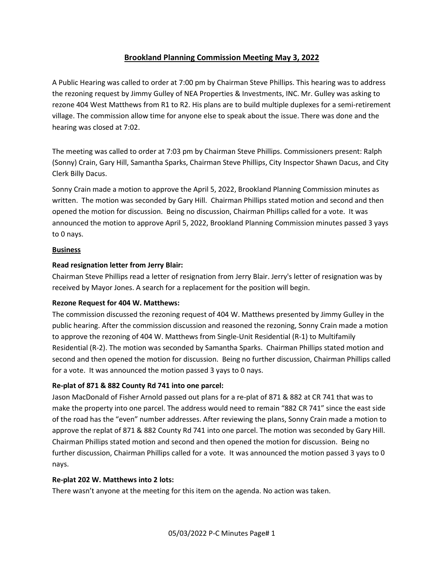# Brookland Planning Commission Meeting May 3, 2022

A Public Hearing was called to order at 7:00 pm by Chairman Steve Phillips. This hearing was to address the rezoning request by Jimmy Gulley of NEA Properties & Investments, INC. Mr. Gulley was asking to rezone 404 West Matthews from R1 to R2. His plans are to build multiple duplexes for a semi-retirement village. The commission allow time for anyone else to speak about the issue. There was done and the hearing was closed at 7:02.

The meeting was called to order at 7:03 pm by Chairman Steve Phillips. Commissioners present: Ralph (Sonny) Crain, Gary Hill, Samantha Sparks, Chairman Steve Phillips, City Inspector Shawn Dacus, and City Clerk Billy Dacus.

Sonny Crain made a motion to approve the April 5, 2022, Brookland Planning Commission minutes as written. The motion was seconded by Gary Hill. Chairman Phillips stated motion and second and then opened the motion for discussion. Being no discussion, Chairman Phillips called for a vote. It was announced the motion to approve April 5, 2022, Brookland Planning Commission minutes passed 3 yays to 0 nays.

#### **Business**

### Read resignation letter from Jerry Blair:

Chairman Steve Phillips read a letter of resignation from Jerry Blair. Jerry's letter of resignation was by received by Mayor Jones. A search for a replacement for the position will begin.

## Rezone Request for 404 W. Matthews:

The commission discussed the rezoning request of 404 W. Matthews presented by Jimmy Gulley in the public hearing. After the commission discussion and reasoned the rezoning, Sonny Crain made a motion to approve the rezoning of 404 W. Matthews from Single-Unit Residential (R-1) to Multifamily Residential (R-2). The motion was seconded by Samantha Sparks. Chairman Phillips stated motion and second and then opened the motion for discussion. Being no further discussion, Chairman Phillips called for a vote. It was announced the motion passed 3 yays to 0 nays.

## Re-plat of 871 & 882 County Rd 741 into one parcel:

Jason MacDonald of Fisher Arnold passed out plans for a re-plat of 871 & 882 at CR 741 that was to make the property into one parcel. The address would need to remain "882 CR 741" since the east side of the road has the "even" number addresses. After reviewing the plans, Sonny Crain made a motion to approve the replat of 871 & 882 County Rd 741 into one parcel. The motion was seconded by Gary Hill. Chairman Phillips stated motion and second and then opened the motion for discussion. Being no further discussion, Chairman Phillips called for a vote. It was announced the motion passed 3 yays to 0 nays.

#### Re-plat 202 W. Matthews into 2 lots:

There wasn't anyone at the meeting for this item on the agenda. No action was taken.